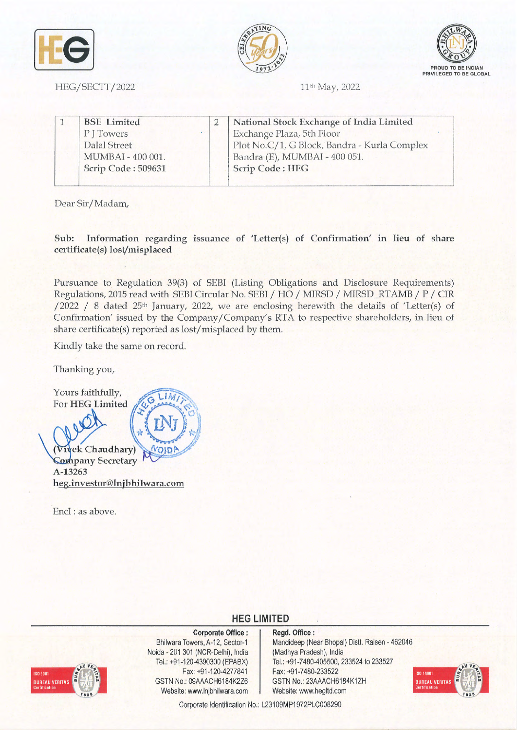





11<sup>th</sup> May, 2022

|  | <b>BSE</b> Limited |  | National Stock Exchange of India Limited     |  |
|--|--------------------|--|----------------------------------------------|--|
|  | PJTowers           |  | Exchange Plaza, 5th Floor                    |  |
|  | Dalal Street       |  | Plot No.C/1, G Block, Bandra - Kurla Complex |  |
|  | MUMBAI - 400 001.  |  | Bandra (E), MUMBAI - 400 051.                |  |
|  | Scrip Code: 509631 |  | Scrip Code: HEG                              |  |

Dear Sir/Madam,

HEG/SECTT/2022

**Sub: Information regarding issuance of 'Letter(s) of Confirmation' in lieu of share certificate(s) lost/misplaced** 

Pursuance to Regulation 39(3) of SEBI (Listing Obligations and Disclosure Requirements) Regulations, 2015 read with SEBI Circular No. SEBI /HO/ MlRSD / MIRSD\_RTAMB / P / CIR /2022 / 8 dated 25<sup>th</sup> January, 2022, we are enclosing herewith the details of 'Letter(s) of Confirmation' issued by the Company/ Company's RTA to respective shareholders, in lieu of share certificate(s) reported as lost/misplaced by them.

Kindly take the same on record.

Thanking you,

Yours faithfully, Fours raithfully,  $\int_{\mathcal{U}} G \lim_{\epsilon \to 0}$  $\circ$ 1.18-1.15  $(r)$ **c** Chaudhary) *<u>MODA</u>* **A-13263 heg.investor@lnjbhilwara.com** 

Encl : as above.

## **HEG LIMITED**



**Corporate Office** : Bhilwara Towers, A-12, Sector-1 Noida - 201 301 (NCR-Delhi), India Tel.: +91 -120-4390300 (EPABX) Fax: +91-120-4277841 GSTN No.: 09AAACH6184K2Z6 Website: www.lnjbhilwara.com | Website: www.hegltd.com

## **Regd. Office:**  Mandideep (Near Bhopal) Distt. Raisen - 462046 (Madhya Pradesh), India Tel.: +91-7480-405500, 233524 to 233527 Fax: +91-7480-233522 GSTN No.: 23AAACH6184K1ZH



Corporate Identification No.: L23109MP1972PLC008290